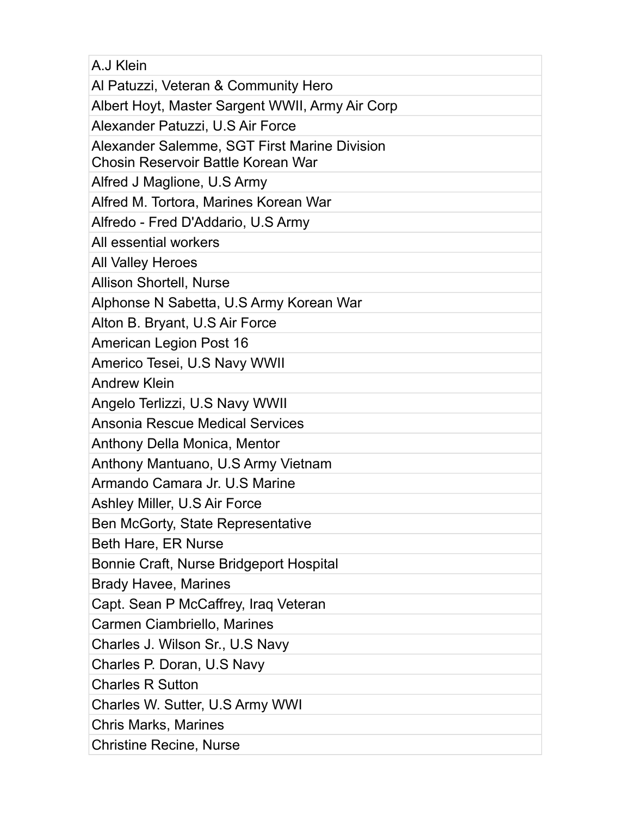| A.J Klein                                                                          |
|------------------------------------------------------------------------------------|
| Al Patuzzi, Veteran & Community Hero                                               |
| Albert Hoyt, Master Sargent WWII, Army Air Corp                                    |
| Alexander Patuzzi, U.S Air Force                                                   |
| Alexander Salemme, SGT First Marine Division<br>Chosin Reservoir Battle Korean War |
| Alfred J Maglione, U.S Army                                                        |
| Alfred M. Tortora, Marines Korean War                                              |
| Alfredo - Fred D'Addario, U.S Army                                                 |
| All essential workers                                                              |
| <b>All Valley Heroes</b>                                                           |
| <b>Allison Shortell, Nurse</b>                                                     |
| Alphonse N Sabetta, U.S Army Korean War                                            |
| Alton B. Bryant, U.S Air Force                                                     |
| <b>American Legion Post 16</b>                                                     |
| Americo Tesei, U.S Navy WWII                                                       |
| <b>Andrew Klein</b>                                                                |
| Angelo Terlizzi, U.S Navy WWII                                                     |
| <b>Ansonia Rescue Medical Services</b>                                             |
| Anthony Della Monica, Mentor                                                       |
| Anthony Mantuano, U.S Army Vietnam                                                 |
| Armando Camara Jr. U.S Marine                                                      |
| Ashley Miller, U.S Air Force                                                       |
| Ben McGorty, State Representative                                                  |
| Beth Hare, ER Nurse                                                                |
| Bonnie Craft, Nurse Bridgeport Hospital                                            |
| <b>Brady Havee, Marines</b>                                                        |
| Capt. Sean P McCaffrey, Iraq Veteran                                               |
| Carmen Ciambriello, Marines                                                        |
| Charles J. Wilson Sr., U.S Navy                                                    |
| Charles P. Doran, U.S Navy                                                         |
| <b>Charles R Sutton</b>                                                            |
| Charles W. Sutter, U.S Army WWI                                                    |
| <b>Chris Marks, Marines</b>                                                        |
| <b>Christine Recine, Nurse</b>                                                     |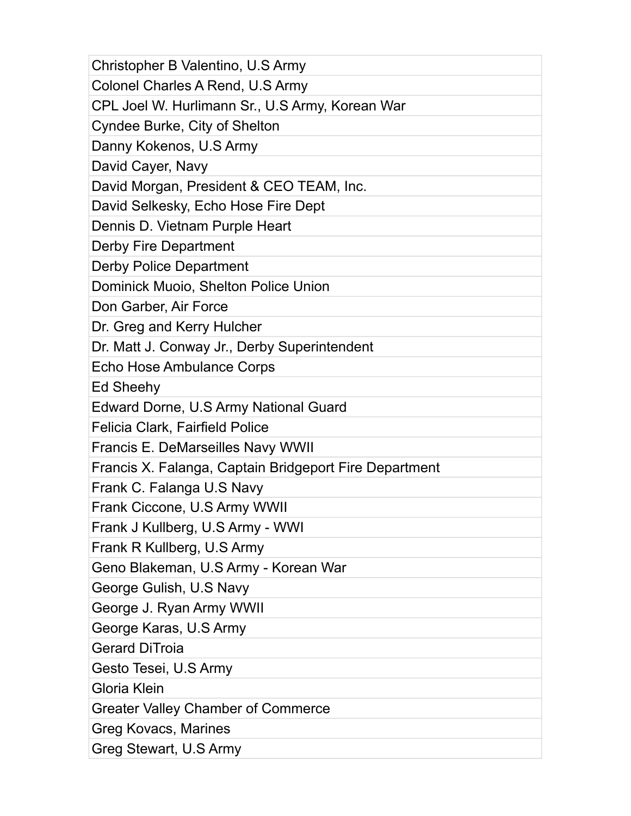| Christopher B Valentino, U.S Army                      |
|--------------------------------------------------------|
| Colonel Charles A Rend, U.S Army                       |
| CPL Joel W. Hurlimann Sr., U.S Army, Korean War        |
| Cyndee Burke, City of Shelton                          |
| Danny Kokenos, U.S Army                                |
| David Cayer, Navy                                      |
| David Morgan, President & CEO TEAM, Inc.               |
| David Selkesky, Echo Hose Fire Dept                    |
| Dennis D. Vietnam Purple Heart                         |
| Derby Fire Department                                  |
| <b>Derby Police Department</b>                         |
| Dominick Muoio, Shelton Police Union                   |
| Don Garber, Air Force                                  |
| Dr. Greg and Kerry Hulcher                             |
| Dr. Matt J. Conway Jr., Derby Superintendent           |
| Echo Hose Ambulance Corps                              |
| Ed Sheehy                                              |
| Edward Dorne, U.S Army National Guard                  |
| <b>Felicia Clark, Fairfield Police</b>                 |
| <b>Francis E. DeMarseilles Navy WWII</b>               |
| Francis X. Falanga, Captain Bridgeport Fire Department |
| Frank C. Falanga U.S Navy                              |
| Frank Ciccone, U.S Army WWII                           |
| Frank J Kullberg, U.S Army - WWI                       |
| Frank R Kullberg, U.S Army                             |
| Geno Blakeman, U.S Army - Korean War                   |
| George Gulish, U.S Navy                                |
| George J. Ryan Army WWII                               |
| George Karas, U.S Army                                 |
| <b>Gerard DiTroia</b>                                  |
| Gesto Tesei, U.S Army                                  |
| Gloria Klein                                           |
| <b>Greater Valley Chamber of Commerce</b>              |
| Greg Kovacs, Marines                                   |
| Greg Stewart, U.S Army                                 |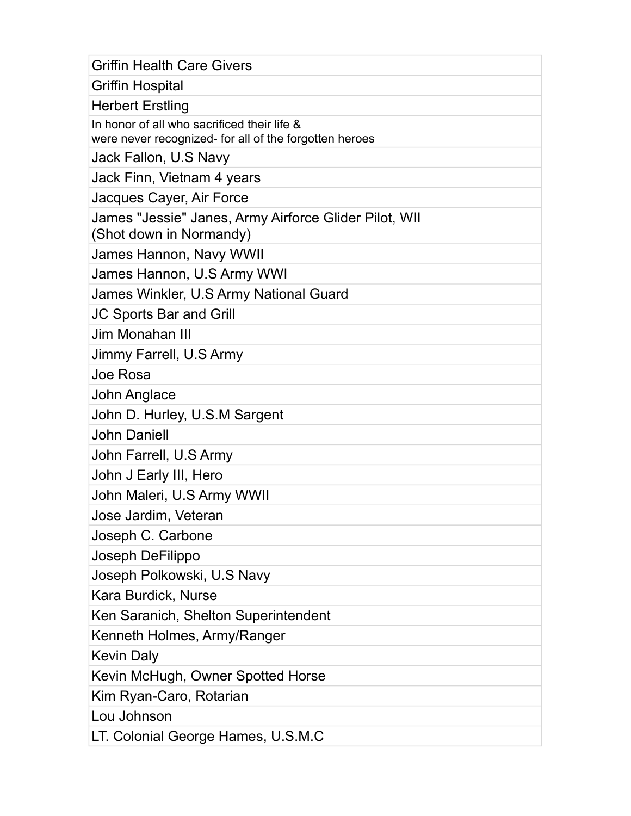| <b>Griffin Health Care Givers</b>                                                                     |
|-------------------------------------------------------------------------------------------------------|
| <b>Griffin Hospital</b>                                                                               |
| <b>Herbert Erstling</b>                                                                               |
| In honor of all who sacrificed their life &<br>were never recognized- for all of the forgotten heroes |
| Jack Fallon, U.S Navy                                                                                 |
| Jack Finn, Vietnam 4 years                                                                            |
| Jacques Cayer, Air Force                                                                              |
| James "Jessie" Janes, Army Airforce Glider Pilot, WII<br>(Shot down in Normandy)                      |
| James Hannon, Navy WWII                                                                               |
| James Hannon, U.S Army WWI                                                                            |
| James Winkler, U.S Army National Guard                                                                |
| <b>JC Sports Bar and Grill</b>                                                                        |
| Jim Monahan III                                                                                       |
| Jimmy Farrell, U.S Army                                                                               |
| Joe Rosa                                                                                              |
| <b>John Anglace</b>                                                                                   |
| John D. Hurley, U.S.M Sargent                                                                         |
| <b>John Daniell</b>                                                                                   |
| John Farrell, U.S Army                                                                                |
| John J Early III, Hero                                                                                |
| John Maleri, U.S Army WWII                                                                            |
| Jose Jardim, Veteran                                                                                  |
| Joseph C. Carbone                                                                                     |
| Joseph DeFilippo                                                                                      |
| Joseph Polkowski, U.S Navy                                                                            |
| Kara Burdick, Nurse                                                                                   |
| Ken Saranich, Shelton Superintendent                                                                  |
| Kenneth Holmes, Army/Ranger                                                                           |
| <b>Kevin Daly</b>                                                                                     |
| Kevin McHugh, Owner Spotted Horse                                                                     |
| Kim Ryan-Caro, Rotarian                                                                               |
| Lou Johnson                                                                                           |
| LT. Colonial George Hames, U.S.M.C                                                                    |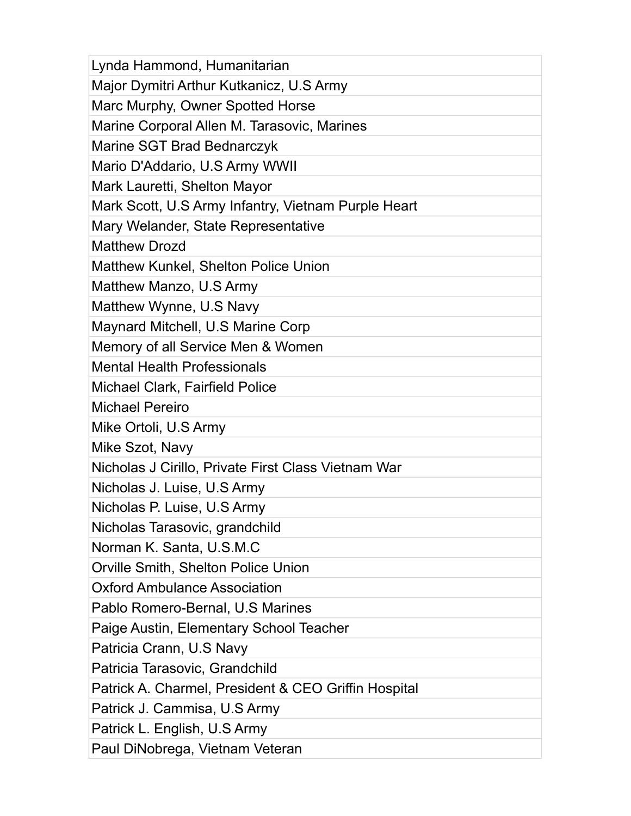| Lynda Hammond, Humanitarian                          |
|------------------------------------------------------|
| Major Dymitri Arthur Kutkanicz, U.S Army             |
| Marc Murphy, Owner Spotted Horse                     |
| Marine Corporal Allen M. Tarasovic, Marines          |
| Marine SGT Brad Bednarczyk                           |
| Mario D'Addario, U.S Army WWII                       |
| Mark Lauretti, Shelton Mayor                         |
| Mark Scott, U.S Army Infantry, Vietnam Purple Heart  |
| Mary Welander, State Representative                  |
| <b>Matthew Drozd</b>                                 |
| <b>Matthew Kunkel, Shelton Police Union</b>          |
| Matthew Manzo, U.S Army                              |
| Matthew Wynne, U.S Navy                              |
| Maynard Mitchell, U.S Marine Corp                    |
| Memory of all Service Men & Women                    |
| <b>Mental Health Professionals</b>                   |
| Michael Clark, Fairfield Police                      |
| <b>Michael Pereiro</b>                               |
| Mike Ortoli, U.S Army                                |
| Mike Szot, Navy                                      |
| Nicholas J Cirillo, Private First Class Vietnam War  |
| Nicholas J. Luise, U.S Army                          |
| Nicholas P. Luise, U.S Army                          |
| Nicholas Tarasovic, grandchild                       |
| Norman K. Santa, U.S.M.C                             |
| Orville Smith, Shelton Police Union                  |
| <b>Oxford Ambulance Association</b>                  |
| Pablo Romero-Bernal, U.S Marines                     |
| Paige Austin, Elementary School Teacher              |
| Patricia Crann, U.S Navy                             |
| Patricia Tarasovic, Grandchild                       |
| Patrick A. Charmel, President & CEO Griffin Hospital |
| Patrick J. Cammisa, U.S Army                         |
| Patrick L. English, U.S Army                         |
| Paul DiNobrega, Vietnam Veteran                      |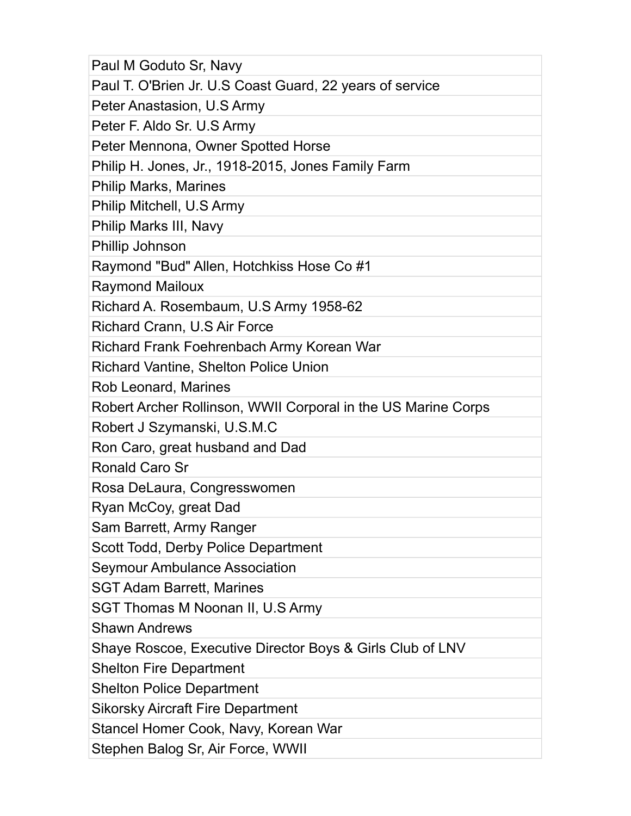| Paul M Goduto Sr, Navy                                        |
|---------------------------------------------------------------|
| Paul T. O'Brien Jr. U.S Coast Guard, 22 years of service      |
| Peter Anastasion, U.S Army                                    |
| Peter F. Aldo Sr. U.S Army                                    |
| Peter Mennona, Owner Spotted Horse                            |
| Philip H. Jones, Jr., 1918-2015, Jones Family Farm            |
| <b>Philip Marks, Marines</b>                                  |
| Philip Mitchell, U.S Army                                     |
| Philip Marks III, Navy                                        |
| Phillip Johnson                                               |
| Raymond "Bud" Allen, Hotchkiss Hose Co #1                     |
| <b>Raymond Mailoux</b>                                        |
| Richard A. Rosembaum, U.S Army 1958-62                        |
| Richard Crann, U.S Air Force                                  |
| Richard Frank Foehrenbach Army Korean War                     |
| <b>Richard Vantine, Shelton Police Union</b>                  |
| Rob Leonard, Marines                                          |
| Robert Archer Rollinson, WWII Corporal in the US Marine Corps |
| Robert J Szymanski, U.S.M.C                                   |
| Ron Caro, great husband and Dad                               |
| <b>Ronald Caro Sr</b>                                         |
| Rosa DeLaura, Congresswomen                                   |
| Ryan McCoy, great Dad                                         |
| Sam Barrett, Army Ranger                                      |
| Scott Todd, Derby Police Department                           |
| <b>Seymour Ambulance Association</b>                          |
| <b>SGT Adam Barrett, Marines</b>                              |
| SGT Thomas M Noonan II, U.S Army                              |
| <b>Shawn Andrews</b>                                          |
| Shaye Roscoe, Executive Director Boys & Girls Club of LNV     |
| <b>Shelton Fire Department</b>                                |
| <b>Shelton Police Department</b>                              |
| <b>Sikorsky Aircraft Fire Department</b>                      |
| Stancel Homer Cook, Navy, Korean War                          |
| Stephen Balog Sr, Air Force, WWII                             |